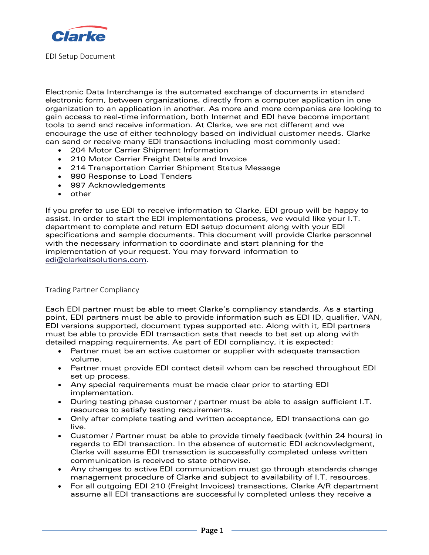

EDI Setup Document

Electronic Data Interchange is the automated exchange of documents in standard electronic form, between organizations, directly from a computer application in one organization to an application in another. As more and more companies are looking to gain access to real-time information, both Internet and EDI have become important tools to send and receive information. At Clarke, we are not different and we encourage the use of either technology based on individual customer needs. Clarke can send or receive many EDI transactions including most commonly used:

- 204 Motor Carrier Shipment Information
- 210 Motor Carrier Freight Details and Invoice
- 214 Transportation Carrier Shipment Status Message
- 990 Response to Load Tenders
- 997 Acknowledgements
- other

If you prefer to use EDI to receive information to Clarke, EDI group will be happy to assist. In order to start the EDI implementations process, we would like your I.T. department to complete and return EDI setup document along with your EDI specifications and sample documents. This document will provide Clarke personnel with the necessary information to coordinate and start planning for the implementation of your request. You may forward information to [edi@clarkeitsolutions.com.](../../../Users/skinshina/AppData/Local/Microsoft/Windows/Temporary%20Internet%20Files/Content.Outlook/A5VNFDWS/edi@clarkeitsolutions.com)

Trading Partner Compliancy

Each EDI partner must be able to meet Clarke's compliancy standards. As a starting point, EDI partners must be able to provide information such as EDI ID, qualifier, VAN, EDI versions supported, document types supported etc. Along with it, EDI partners must be able to provide EDI transaction sets that needs to bet set up along with detailed mapping requirements. As part of EDI compliancy, it is expected:

- Partner must be an active customer or supplier with adequate transaction volume.
- Partner must provide EDI contact detail whom can be reached throughout EDI set up process.
- Any special requirements must be made clear prior to starting EDI implementation.
- During testing phase customer / partner must be able to assign sufficient I.T. resources to satisfy testing requirements.
- Only after complete testing and written acceptance, EDI transactions can go live.
- Customer / Partner must be able to provide timely feedback (within 24 hours) in regards to EDI transaction. In the absence of automatic EDI acknowledgment, Clarke will assume EDI transaction is successfully completed unless written communication is received to state otherwise.
- Any changes to active EDI communication must go through standards change management procedure of Clarke and subject to availability of I.T. resources.
- For all outgoing EDI 210 (Freight Invoices) transactions, Clarke A/R department assume all EDI transactions are successfully completed unless they receive a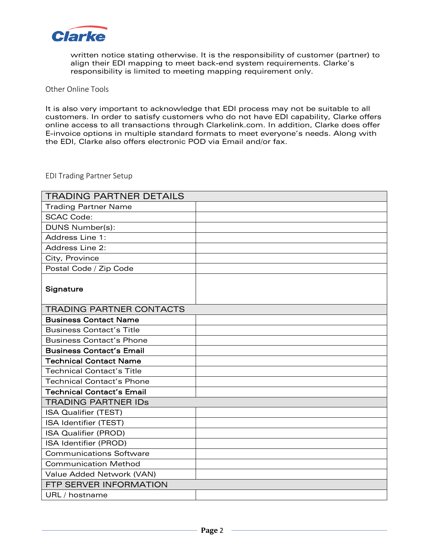

written notice stating otherwise. It is the responsibility of customer (partner) to align their EDI mapping to meet back-end system requirements. Clarke's responsibility is limited to meeting mapping requirement only.

Other Online Tools

It is also very important to acknowledge that EDI process may not be suitable to all customers. In order to satisfy customers who do not have EDI capability, Clarke offers online access to all transactions through Clarkelink.com. In addition, Clarke does offer E-invoice options in multiple standard formats to meet everyone's needs. Along with the EDI, Clarke also offers electronic POD via Email and/or fax.

## EDI Trading Partner Setup

| <b>TRADING PARTNER DETAILS</b>   |  |
|----------------------------------|--|
| <b>Trading Partner Name</b>      |  |
| <b>SCAC Code:</b>                |  |
| DUNS Number(s):                  |  |
| Address Line 1:                  |  |
| Address Line 2:                  |  |
| City, Province                   |  |
| Postal Code / Zip Code           |  |
| Signature                        |  |
| <b>TRADING PARTNER CONTACTS</b>  |  |
| <b>Business Contact Name</b>     |  |
| <b>Business Contact's Title</b>  |  |
| <b>Business Contact's Phone</b>  |  |
| <b>Business Contact's Email</b>  |  |
| <b>Technical Contact Name</b>    |  |
| <b>Technical Contact's Title</b> |  |
| <b>Technical Contact's Phone</b> |  |
| <b>Technical Contact's Email</b> |  |
| <b>TRADING PARTNER IDS</b>       |  |
| <b>ISA Qualifier (TEST)</b>      |  |
| ISA Identifier (TEST)            |  |
| <b>ISA Qualifier (PROD)</b>      |  |
| ISA Identifier (PROD)            |  |
| <b>Communications Software</b>   |  |
| <b>Communication Method</b>      |  |
| Value Added Network (VAN)        |  |
| FTP SERVER INFORMATION           |  |
| URL / hostname                   |  |